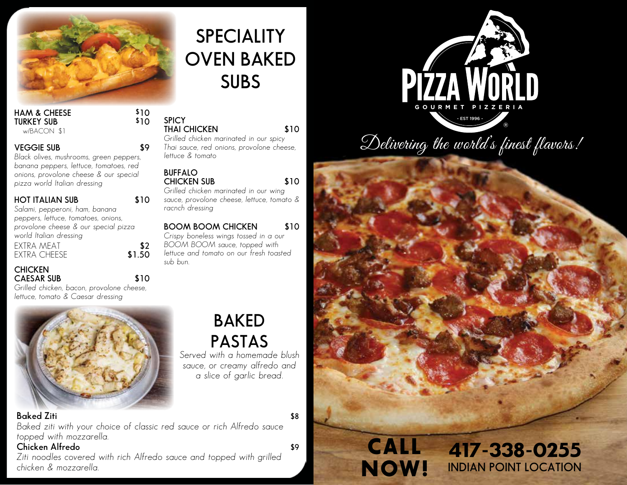

### **HAM & CHEESE \$10 TURKEY SUB**

w/BACON \$1

### **VEGGIE SUB \$9**

*Black olives, mushrooms, green peppers, banana peppers, lettuce, tomatoes, red onions, provolone cheese & our special pizza world Italian dressing*

#### **HOT ITALIAN SUB \$10**

*Salami, pepperoni, ham, banana peppers, lettuce, tomatoes, onions, provolone cheese & our special pizza world Italian dressing* EXTRA MEAT **\$2 EXTRA CHEESE** 

#### **CHICKEN CAESAR SUB \$10**

*Grilled chicken, bacon, provolone cheese, lettuce, tomato & Caesar dressing*

# **BAKED PASTAS**

**THAI CHICKEN \$10** *Grilled chicken marinated in our spicy Thai sauce, red onions, provolone cheese,* 

**speciality**

**OVEN BAKED**

**SUBS**

**CHICKEN SUB \$10** *Grilled chicken marinated in our wing sauce, provolone cheese, lettuce, tomato &* 

**Boom Boom Chicken \$10** *Crispy boneless wings tossed in a our BOOM BOOM sauce, topped with lettuce and tomato on our fresh toasted* 

> *Served with a homemade blush sauce, or creamy alfredo and a slice of garlic bread.*

### **Baked Ziti** \$8

*Baked ziti with your choice of classic red sauce or rich Alfredo sauce topped with mozzarella.*

**SPICY**

*lettuce & tomato*

*racnch dressing*

**BUFFALO**

*sub bun.*

### **Chicken Alfredo \$9**

*Ziti noodles covered with rich Alfredo sauce and topped with grilled chicken & mozzarella.*

 - EST 1996 - ® **PIZZA WORLD** 

Delivering the world's finest flavors!

CALL NOW!

417-338-0255 **INDIAN POINT LOCATION**